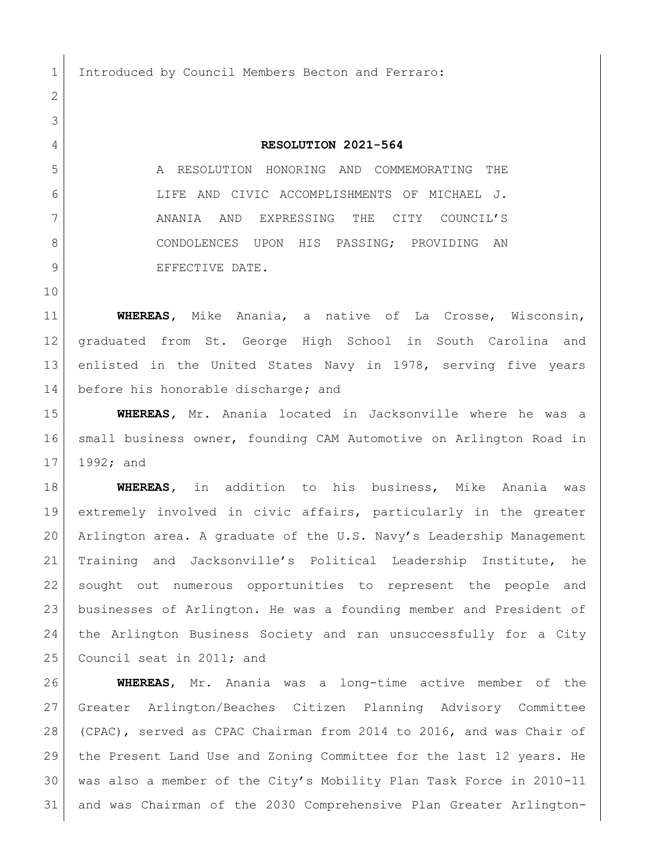1 Introduced by Council Members Becton and Ferraro:

## **RESOLUTION 2021-564**

 A RESOLUTION HONORING AND COMMEMORATING THE LIFE AND CIVIC ACCOMPLISHMENTS OF MICHAEL J. ANANIA AND EXPRESSING THE CITY COUNCIL'S 8 CONDOLENCES UPON HIS PASSING; PROVIDING AN 9 BEFECTIVE DATE.

 **WHEREAS,** Mike Anania, a native of La Crosse, Wisconsin, graduated from St. George High School in South Carolina and 13 enlisted in the United States Navy in 1978, serving five years before his honorable discharge**;** and

 **WHEREAS,** Mr. Anania located in Jacksonville where he was a small business owner, founding CAM Automotive on Arlington Road in 1992; and

 **WHEREAS,** in addition to his business, Mike Anania was extremely involved in civic affairs, particularly in the greater Arlington area. A graduate of the U.S. Navy's Leadership Management Training and Jacksonville's Political Leadership Institute, he sought out numerous opportunities to represent the people and businesses of Arlington. He was a founding member and President of the Arlington Business Society and ran unsuccessfully for a City 25 Council seat in 2011; and

 **WHEREAS**, Mr. Anania was a long-time active member of the Greater Arlington/Beaches Citizen Planning Advisory Committee (CPAC), served as CPAC Chairman from 2014 to 2016, and was Chair of the Present Land Use and Zoning Committee for the last 12 years. He was also a member of the City's Mobility Plan Task Force in 2010-11 and was Chairman of the 2030 Comprehensive Plan Greater Arlington